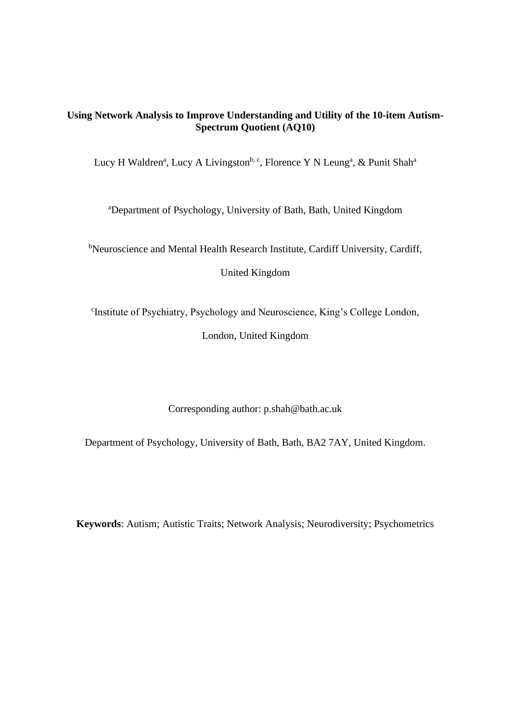# **Using Network Analysis to Improve Understanding and Utility of the 10-item Autism-Spectrum Quotient (AQ10)**

Lucy H Waldren<sup>a</sup>, Lucy A Livingston<sup>b, c</sup>, Florence Y N Leung<sup>a</sup>, & Punit Shah<sup>a</sup>

<sup>a</sup>Department of Psychology, University of Bath, Bath, United Kingdom

<sup>b</sup>Neuroscience and Mental Health Research Institute, Cardiff University, Cardiff,

United Kingdom

c Institute of Psychiatry, Psychology and Neuroscience, King's College London,

London, United Kingdom

Corresponding author: p.shah@bath.ac.uk

Department of Psychology, University of Bath, Bath, BA2 7AY, United Kingdom.

**Keywords**: Autism; Autistic Traits; Network Analysis; Neurodiversity; Psychometrics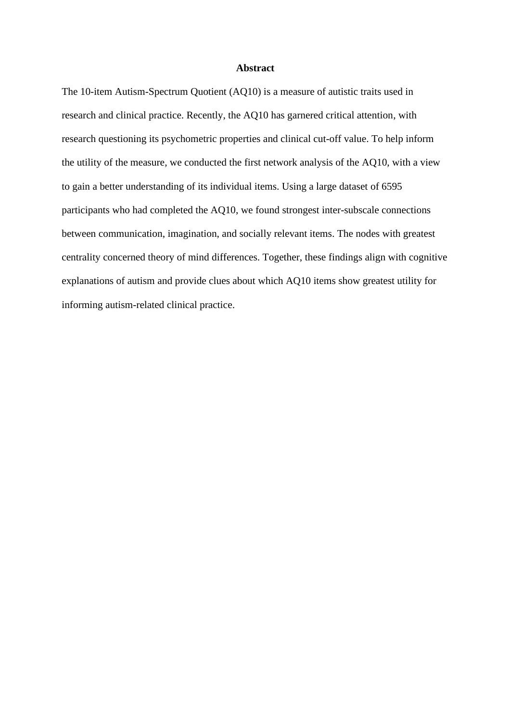## **Abstract**

The 10-item Autism-Spectrum Quotient (AQ10) is a measure of autistic traits used in research and clinical practice. Recently, the AQ10 has garnered critical attention, with research questioning its psychometric properties and clinical cut-off value. To help inform the utility of the measure, we conducted the first network analysis of the AQ10, with a view to gain a better understanding of its individual items. Using a large dataset of 6595 participants who had completed the AQ10, we found strongest inter-subscale connections between communication, imagination, and socially relevant items. The nodes with greatest centrality concerned theory of mind differences. Together, these findings align with cognitive explanations of autism and provide clues about which AQ10 items show greatest utility for informing autism-related clinical practice.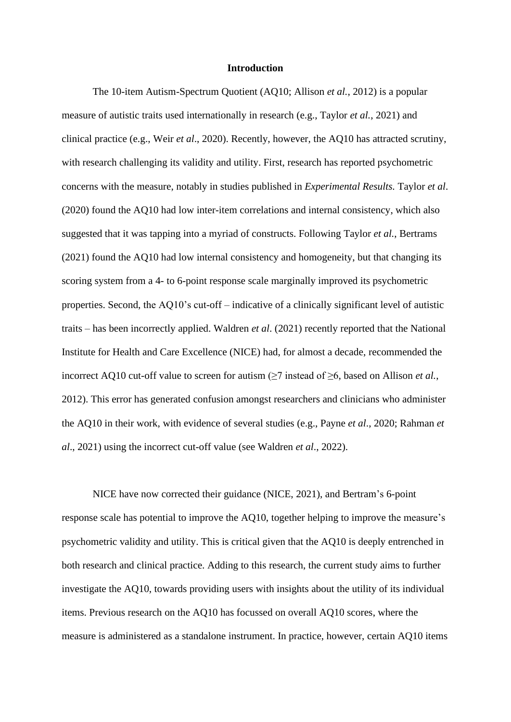## **Introduction**

The 10-item Autism-Spectrum Quotient (AQ10; Allison *et al.*, 2012) is a popular measure of autistic traits used internationally in research (e.g., Taylor *et al.*, 2021) and clinical practice (e.g., Weir *et al*., 2020). Recently, however, the AQ10 has attracted scrutiny, with research challenging its validity and utility. First, research has reported psychometric concerns with the measure, notably in studies published in *Experimental Results.* Taylor *et al*. (2020) found the AQ10 had low inter-item correlations and internal consistency, which also suggested that it was tapping into a myriad of constructs. Following Taylor *et al.*, Bertrams (2021) found the AQ10 had low internal consistency and homogeneity, but that changing its scoring system from a 4- to 6-point response scale marginally improved its psychometric properties. Second, the AQ10's cut-off – indicative of a clinically significant level of autistic traits – has been incorrectly applied. Waldren *et al*. (2021) recently reported that the National Institute for Health and Care Excellence (NICE) had, for almost a decade, recommended the incorrect AQ10 cut-off value to screen for autism  $(\geq 7)$  instead of  $\geq 6$ , based on Allison *et al.*, 2012). This error has generated confusion amongst researchers and clinicians who administer the AQ10 in their work, with evidence of several studies (e.g., Payne *et al*., 2020; Rahman *et al*., 2021) using the incorrect cut-off value (see Waldren *et al*., 2022).

NICE have now corrected their guidance (NICE, 2021), and Bertram's 6-point response scale has potential to improve the AQ10, together helping to improve the measure's psychometric validity and utility. This is critical given that the AQ10 is deeply entrenched in both research and clinical practice. Adding to this research, the current study aims to further investigate the AQ10, towards providing users with insights about the utility of its individual items. Previous research on the AQ10 has focussed on overall AQ10 scores, where the measure is administered as a standalone instrument. In practice, however, certain AQ10 items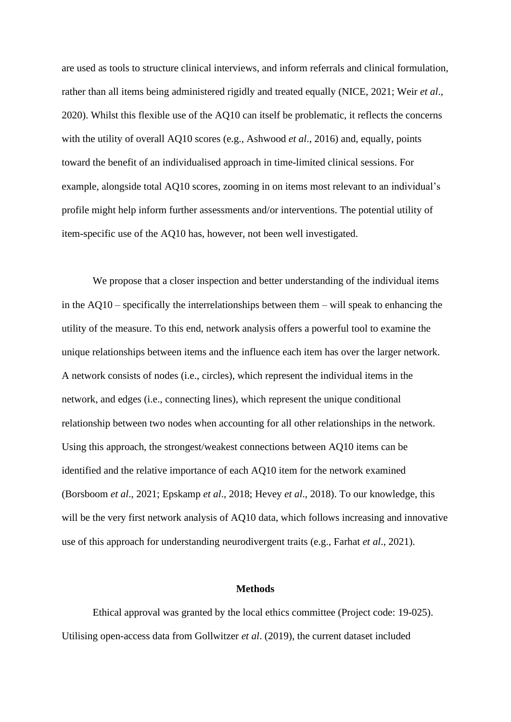are used as tools to structure clinical interviews, and inform referrals and clinical formulation, rather than all items being administered rigidly and treated equally (NICE, 2021; Weir *et al*., 2020). Whilst this flexible use of the AQ10 can itself be problematic, it reflects the concerns with the utility of overall AQ10 scores (e.g., Ashwood *et al*., 2016) and, equally, points toward the benefit of an individualised approach in time-limited clinical sessions. For example, alongside total AQ10 scores, zooming in on items most relevant to an individual's profile might help inform further assessments and/or interventions. The potential utility of item-specific use of the AQ10 has, however, not been well investigated.

We propose that a closer inspection and better understanding of the individual items in the  $AQ10$  – specifically the interrelationships between them – will speak to enhancing the utility of the measure. To this end, network analysis offers a powerful tool to examine the unique relationships between items and the influence each item has over the larger network. A network consists of nodes (i.e., circles), which represent the individual items in the network, and edges (i.e., connecting lines), which represent the unique conditional relationship between two nodes when accounting for all other relationships in the network. Using this approach, the strongest/weakest connections between AQ10 items can be identified and the relative importance of each AQ10 item for the network examined (Borsboom *et al*., 2021; Epskamp *et al*., 2018; Hevey *et al*., 2018). To our knowledge, this will be the very first network analysis of AQ10 data, which follows increasing and innovative use of this approach for understanding neurodivergent traits (e.g., Farhat *et al*., 2021).

## **Methods**

Ethical approval was granted by the local ethics committee (Project code: 19-025). Utilising open-access data from Gollwitzer *et al*. (2019), the current dataset included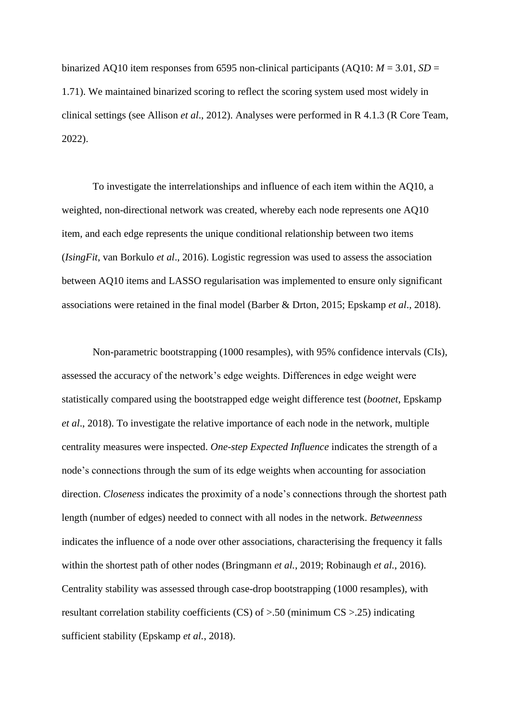binarized AQ10 item responses from 6595 non-clinical participants (AQ10:  $M = 3.01$ ,  $SD =$ 1.71). We maintained binarized scoring to reflect the scoring system used most widely in clinical settings (see Allison *et al*., 2012). Analyses were performed in R 4.1.3 (R Core Team, 2022).

To investigate the interrelationships and influence of each item within the AQ10, a weighted, non-directional network was created, whereby each node represents one AQ10 item, and each edge represents the unique conditional relationship between two items (*IsingFit*, van Borkulo *et al*., 2016). Logistic regression was used to assess the association between AQ10 items and LASSO regularisation was implemented to ensure only significant associations were retained in the final model (Barber & Drton, 2015; Epskamp *et al*., 2018).

Non-parametric bootstrapping (1000 resamples), with 95% confidence intervals (CIs), assessed the accuracy of the network's edge weights. Differences in edge weight were statistically compared using the bootstrapped edge weight difference test (*bootnet*, Epskamp *et al*., 2018). To investigate the relative importance of each node in the network, multiple centrality measures were inspected. *One-step Expected Influence* indicates the strength of a node's connections through the sum of its edge weights when accounting for association direction. *Closeness* indicates the proximity of a node's connections through the shortest path length (number of edges) needed to connect with all nodes in the network. *Betweenness* indicates the influence of a node over other associations, characterising the frequency it falls within the shortest path of other nodes (Bringmann *et al.*, 2019; Robinaugh *et al.*, 2016). Centrality stability was assessed through case-drop bootstrapping (1000 resamples), with resultant correlation stability coefficients (CS) of >.50 (minimum CS >.25) indicating sufficient stability (Epskamp *et al.*, 2018).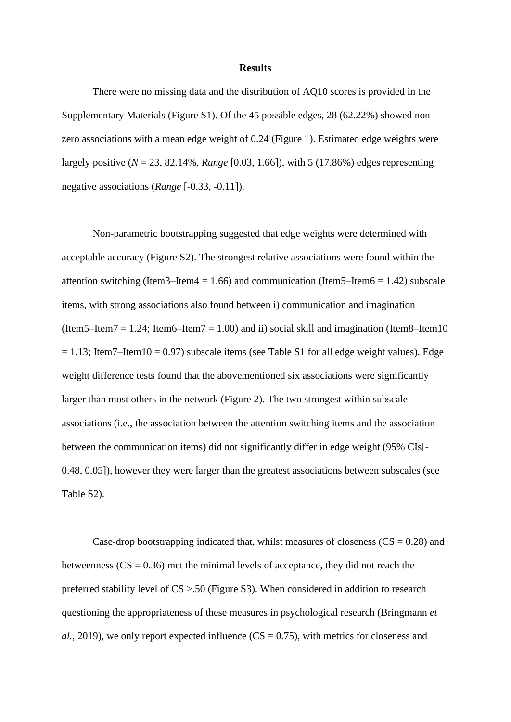#### **Results**

There were no missing data and the distribution of AQ10 scores is provided in the Supplementary Materials (Figure S1). Of the 45 possible edges, 28 (62.22%) showed nonzero associations with a mean edge weight of 0.24 (Figure 1). Estimated edge weights were largely positive (*N* = 23, 82.14%, *Range* [0.03, 1.66]), with 5 (17.86%) edges representing negative associations (*Range* [-0.33, -0.11]).

Non-parametric bootstrapping suggested that edge weights were determined with acceptable accuracy (Figure S2). The strongest relative associations were found within the attention switching (Item3–Item4 = 1.66) and communication (Item5–Item6 = 1.42) subscale items, with strong associations also found between i) communication and imagination (Item5–Item7 = 1.24; Item6–Item7 = 1.00) and ii) social skill and imagination (Item8–Item10  $= 1.13$ ; Item7–Item10 = 0.97) subscale items (see Table S1 for all edge weight values). Edge weight difference tests found that the abovementioned six associations were significantly larger than most others in the network (Figure 2). The two strongest within subscale associations (i.e., the association between the attention switching items and the association between the communication items) did not significantly differ in edge weight (95% CIs[- 0.48, 0.05]), however they were larger than the greatest associations between subscales (see Table S2).

Case-drop bootstrapping indicated that, whilst measures of closeness  $(CS = 0.28)$  and betweenness  $(CS = 0.36)$  met the minimal levels of acceptance, they did not reach the preferred stability level of CS >.50 (Figure S3). When considered in addition to research questioning the appropriateness of these measures in psychological research (Bringmann *et al.*, 2019), we only report expected influence ( $CS = 0.75$ ), with metrics for closeness and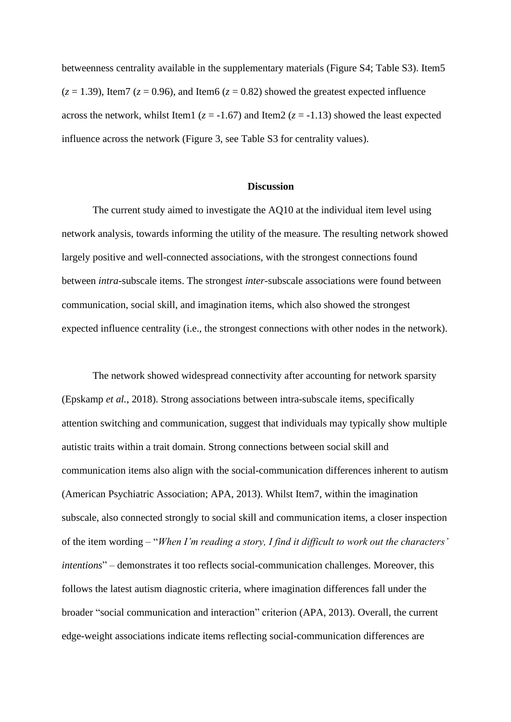betweenness centrality available in the supplementary materials (Figure S4; Table S3). Item5  $(z = 1.39)$ , Item7  $(z = 0.96)$ , and Item6  $(z = 0.82)$  showed the greatest expected influence across the network, whilst Item1 ( $z = -1.67$ ) and Item2 ( $z = -1.13$ ) showed the least expected influence across the network (Figure 3, see Table S3 for centrality values).

## **Discussion**

The current study aimed to investigate the AQ10 at the individual item level using network analysis, towards informing the utility of the measure. The resulting network showed largely positive and well-connected associations, with the strongest connections found between *intra*-subscale items. The strongest *inter*-subscale associations were found between communication, social skill, and imagination items, which also showed the strongest expected influence centrality (i.e., the strongest connections with other nodes in the network).

The network showed widespread connectivity after accounting for network sparsity (Epskamp *et al.*, 2018). Strong associations between intra-subscale items, specifically attention switching and communication, suggest that individuals may typically show multiple autistic traits within a trait domain. Strong connections between social skill and communication items also align with the social-communication differences inherent to autism (American Psychiatric Association; APA, 2013). Whilst Item7, within the imagination subscale, also connected strongly to social skill and communication items, a closer inspection of the item wording – "*When I'm reading a story, I find it difficult to work out the characters' intentions*" – demonstrates it too reflects social-communication challenges. Moreover, this follows the latest autism diagnostic criteria, where imagination differences fall under the broader "social communication and interaction" criterion (APA, 2013). Overall, the current edge-weight associations indicate items reflecting social-communication differences are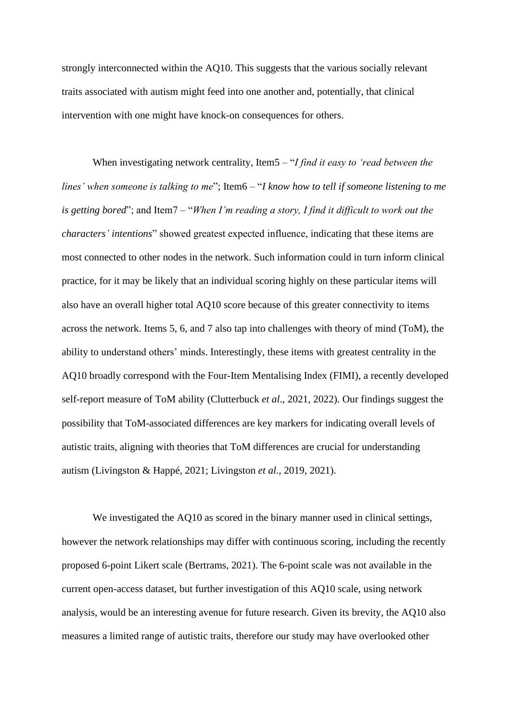strongly interconnected within the AQ10. This suggests that the various socially relevant traits associated with autism might feed into one another and, potentially, that clinical intervention with one might have knock-on consequences for others.

When investigating network centrality, Item5 – "*I find it easy to 'read between the lines' when someone is talking to me*"; Item6 – "*I know how to tell if someone listening to me is getting bored*"; and Item7 – "*When I'm reading a story, I find it difficult to work out the characters' intentions*" showed greatest expected influence, indicating that these items are most connected to other nodes in the network. Such information could in turn inform clinical practice, for it may be likely that an individual scoring highly on these particular items will also have an overall higher total AQ10 score because of this greater connectivity to items across the network. Items 5, 6, and 7 also tap into challenges with theory of mind (ToM), the ability to understand others' minds. Interestingly, these items with greatest centrality in the AQ10 broadly correspond with the Four-Item Mentalising Index (FIMI), a recently developed self-report measure of ToM ability (Clutterbuck *et al*., 2021, 2022). Our findings suggest the possibility that ToM-associated differences are key markers for indicating overall levels of autistic traits, aligning with theories that ToM differences are crucial for understanding autism (Livingston & Happé, 2021; Livingston *et al.*, 2019, 2021).

We investigated the AQ10 as scored in the binary manner used in clinical settings, however the network relationships may differ with continuous scoring, including the recently proposed 6-point Likert scale (Bertrams, 2021). The 6-point scale was not available in the current open-access dataset, but further investigation of this AQ10 scale, using network analysis, would be an interesting avenue for future research. Given its brevity, the AQ10 also measures a limited range of autistic traits, therefore our study may have overlooked other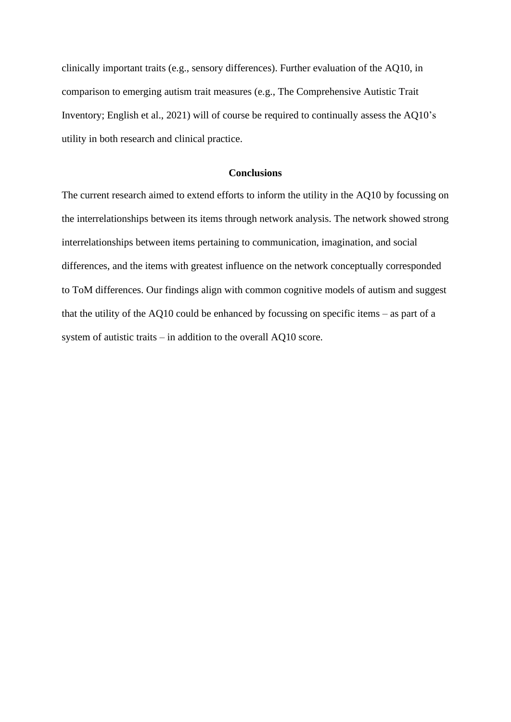clinically important traits (e.g., sensory differences). Further evaluation of the AQ10, in comparison to emerging autism trait measures (e.g., The Comprehensive Autistic Trait Inventory; English et al., 2021) will of course be required to continually assess the AQ10's utility in both research and clinical practice.

#### **Conclusions**

The current research aimed to extend efforts to inform the utility in the AQ10 by focussing on the interrelationships between its items through network analysis. The network showed strong interrelationships between items pertaining to communication, imagination, and social differences, and the items with greatest influence on the network conceptually corresponded to ToM differences. Our findings align with common cognitive models of autism and suggest that the utility of the AQ10 could be enhanced by focussing on specific items – as part of a system of autistic traits – in addition to the overall AQ10 score.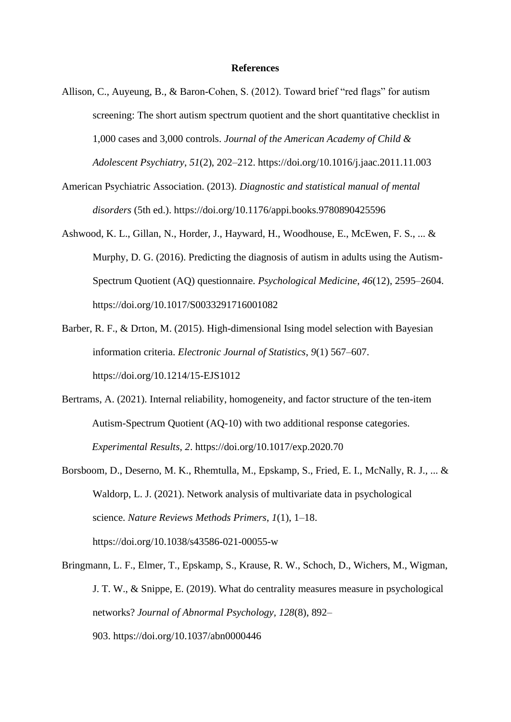## **References**

- Allison, C., Auyeung, B., & Baron-Cohen, S. (2012). Toward brief "red flags" for autism screening: The short autism spectrum quotient and the short quantitative checklist in 1,000 cases and 3,000 controls. *Journal of the American Academy of Child & Adolescent Psychiatry*, *51*(2), 202–212. https://doi.org/10.1016/j.jaac.2011.11.003
- American Psychiatric Association. (2013). *Diagnostic and statistical manual of mental disorders* (5th ed.). https://doi.org/10.1176/appi.books.9780890425596
- Ashwood, K. L., Gillan, N., Horder, J., Hayward, H., Woodhouse, E., McEwen, F. S., ... & Murphy, D. G. (2016). Predicting the diagnosis of autism in adults using the Autism-Spectrum Quotient (AQ) questionnaire. *Psychological Medicine*, *46*(12), 2595–2604. https://doi.org/10.1017/S0033291716001082
- Barber, R. F., & Drton, M. (2015). High-dimensional Ising model selection with Bayesian information criteria. *Electronic Journal of Statistics*, *9*(1) 567–607. https://doi.org/10.1214/15-EJS1012
- Bertrams, A. (2021). Internal reliability, homogeneity, and factor structure of the ten-item Autism-Spectrum Quotient (AQ-10) with two additional response categories. *Experimental Results*, *2*. https://doi.org/10.1017/exp.2020.70
- Borsboom, D., Deserno, M. K., Rhemtulla, M., Epskamp, S., Fried, E. I., McNally, R. J., ... & Waldorp, L. J. (2021). Network analysis of multivariate data in psychological science. *Nature Reviews Methods Primers*, *1*(1), 1–18. https://doi.org/10.1038/s43586-021-00055-w
- Bringmann, L. F., Elmer, T., Epskamp, S., Krause, R. W., Schoch, D., Wichers, M., Wigman, J. T. W., & Snippe, E. (2019). What do centrality measures measure in psychological networks? *Journal of Abnormal Psychology, 128*(8), 892– 903. https://doi.org/10.1037/abn0000446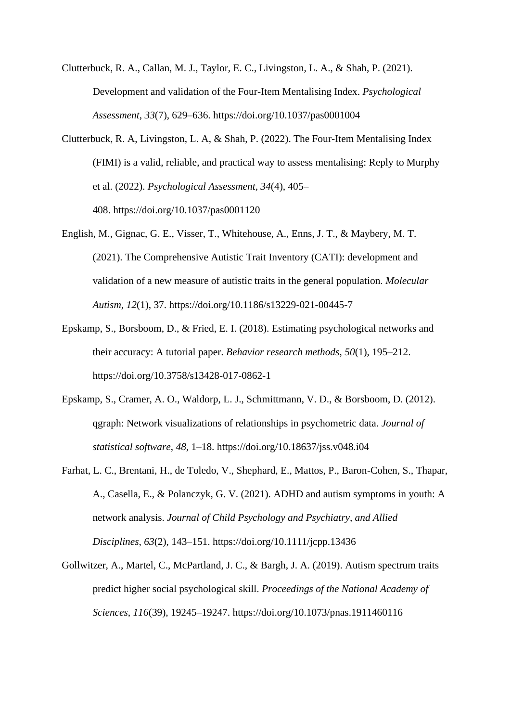Clutterbuck, R. A., Callan, M. J., Taylor, E. C., Livingston, L. A., & Shah, P. (2021). Development and validation of the Four-Item Mentalising Index. *Psychological Assessment*, *33*(7), 629–636. https://doi.org/10.1037/pas0001004

- Clutterbuck, R. A, Livingston, L. A, & Shah, P. (2022). The Four-Item Mentalising Index (FIMI) is a valid, reliable, and practical way to assess mentalising: Reply to Murphy et al. (2022). *Psychological Assessment, 34*(4), 405– 408. https://doi.org/10.1037/pas0001120
- English, M., Gignac, G. E., Visser, T., Whitehouse, A., Enns, J. T., & Maybery, M. T. (2021). The Comprehensive Autistic Trait Inventory (CATI): development and validation of a new measure of autistic traits in the general population. *Molecular Autism*, *12*(1), 37. https://doi.org/10.1186/s13229-021-00445-7
- Epskamp, S., Borsboom, D., & Fried, E. I. (2018). Estimating psychological networks and their accuracy: A tutorial paper. *Behavior research methods*, *50*(1), 195–212. https://doi.org/10.3758/s13428-017-0862-1
- Epskamp, S., Cramer, A. O., Waldorp, L. J., Schmittmann, V. D., & Borsboom, D. (2012). qgraph: Network visualizations of relationships in psychometric data. *Journal of statistical software*, *48*, 1–18. https://doi.org/10.18637/jss.v048.i04
- Farhat, L. C., Brentani, H., de Toledo, V., Shephard, E., Mattos, P., Baron-Cohen, S., Thapar, A., Casella, E., & Polanczyk, G. V. (2021). ADHD and autism symptoms in youth: A network analysis. *Journal of Child Psychology and Psychiatry, and Allied Disciplines*, *63*(2), 143–151. https://doi.org/10.1111/jcpp.13436
- Gollwitzer, A., Martel, C., McPartland, J. C., & Bargh, J. A. (2019). Autism spectrum traits predict higher social psychological skill. *Proceedings of the National Academy of Sciences*, *116*(39), 19245–19247. https://doi.org/10.1073/pnas.1911460116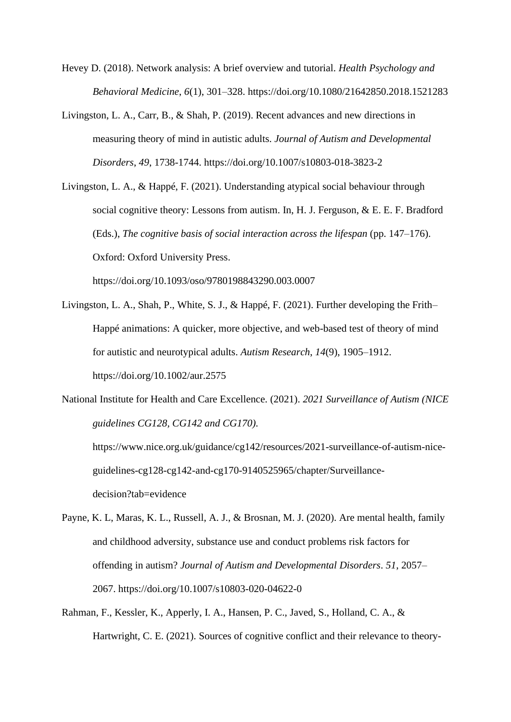- Hevey D. (2018). Network analysis: A brief overview and tutorial. *Health Psychology and Behavioral Medicine*, *6*(1), 301–328. https://doi.org/10.1080/21642850.2018.1521283
- Livingston, L. A., Carr, B., & Shah, P. (2019). Recent advances and new directions in measuring theory of mind in autistic adults. *Journal of Autism and Developmental Disorders*, *49*, 1738-1744. https://doi.org/10.1007/s10803-018-3823-2
- Livingston, L. A., & Happé, F. (2021). Understanding atypical social behaviour through social cognitive theory: Lessons from autism. In, H. J. Ferguson, & E. E. F. Bradford (Eds.), *The cognitive basis of social interaction across the lifespan* (pp. 147–176). Oxford: Oxford University Press.

https://doi.org/10.1093/oso/9780198843290.003.0007

- Livingston, L. A., Shah, P., White, S. J., & Happé, F. (2021). Further developing the Frith– Happé animations: A quicker, more objective, and web-based test of theory of mind for autistic and neurotypical adults. *Autism Research*, *14*(9), 1905–1912. https://doi.org/10.1002/aur.2575
- National Institute for Health and Care Excellence. (2021). *2021 Surveillance of Autism (NICE guidelines CG128, CG142 and CG170).*

https://www.nice.org.uk/guidance/cg142/resources/2021-surveillance-of-autism-niceguidelines-cg128-cg142-and-cg170-9140525965/chapter/Surveillancedecision?tab=evidence

- Payne, K. L, Maras, K. L., Russell, A. J., & Brosnan, M. J. (2020). Are mental health, family and childhood adversity, substance use and conduct problems risk factors for offending in autism? *Journal of Autism and Developmental Disorders*. *51*, 2057– 2067. https://doi.org/10.1007/s10803-020-04622-0
- Rahman, F., Kessler, K., Apperly, I. A., Hansen, P. C., Javed, S., Holland, C. A., & Hartwright, C. E. (2021). Sources of cognitive conflict and their relevance to theory-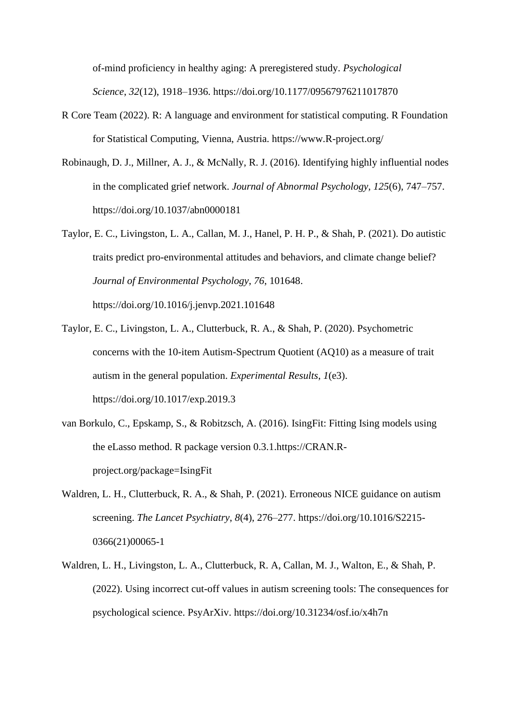of-mind proficiency in healthy aging: A preregistered study. *Psychological Science*, *32*(12), 1918–1936. https://doi.org/10.1177/09567976211017870

- R Core Team (2022). R: A language and environment for statistical computing. R Foundation for Statistical Computing, Vienna, Austria. https://www.R-project.org/
- Robinaugh, D. J., Millner, A. J., & McNally, R. J. (2016). Identifying highly influential nodes in the complicated grief network. *Journal of Abnormal Psychology, 125*(6), 747–757. https://doi.org/10.1037/abn0000181
- Taylor, E. C., Livingston, L. A., Callan, M. J., Hanel, P. H. P., & Shah, P. (2021). Do autistic traits predict pro-environmental attitudes and behaviors, and climate change belief? *Journal of Environmental Psychology*, *76*, 101648. https://doi.org/10.1016/j.jenvp.2021.101648
- Taylor, E. C., Livingston, L. A., Clutterbuck, R. A., & Shah, P. (2020). Psychometric concerns with the 10-item Autism-Spectrum Quotient (AQ10) as a measure of trait

autism in the general population. *Experimental Results*, *1*(e3).

https://doi.org/10.1017/exp.2019.3

- van Borkulo, C., Epskamp, S., & Robitzsch, A. (2016). IsingFit: Fitting Ising models using the eLasso method. R package version 0.3.1.https://CRAN.Rproject.org/package=IsingFit
- Waldren, L. H., Clutterbuck, R. A., & Shah, P. (2021). Erroneous NICE guidance on autism screening. *The Lancet Psychiatry*, *8*(4), 276–277. https://doi.org/10.1016/S2215- 0366(21)00065-1
- Waldren, L. H., Livingston, L. A., Clutterbuck, R. A, Callan, M. J., Walton, E., & Shah, P. (2022). Using incorrect cut-off values in autism screening tools: The consequences for psychological science. PsyArXiv. https://doi.org/10.31234/osf.io/x4h7n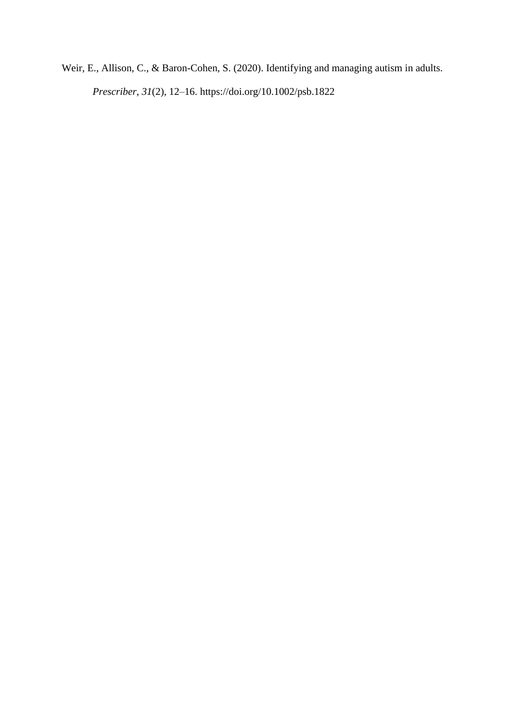Weir, E., Allison, C., & Baron-Cohen, S. (2020). Identifying and managing autism in adults.

*Prescriber*, *31*(2), 12–16. https://doi.org/10.1002/psb.1822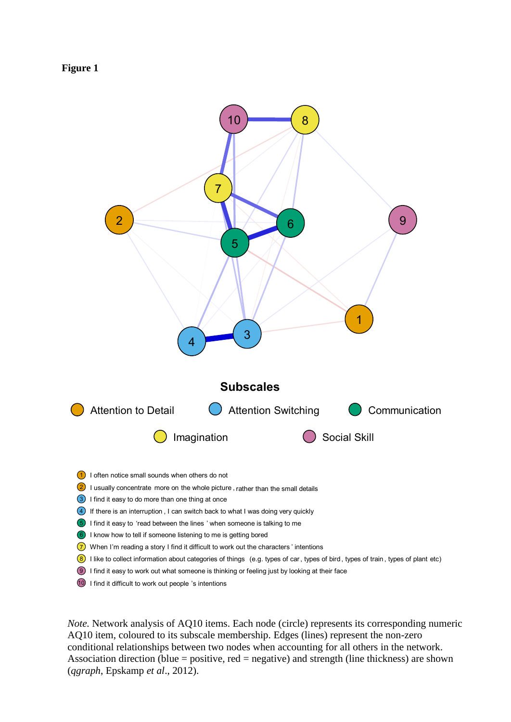



*Note.* Network analysis of AQ10 items. Each node (circle) represents its corresponding numeric AQ10 item, coloured to its subscale membership. Edges (lines) represent the non-zero conditional relationships between two nodes when accounting for all others in the network. Association direction (blue = positive, red = negative) and strength (line thickness) are shown (*qgraph*, Epskamp *et al*., 2012).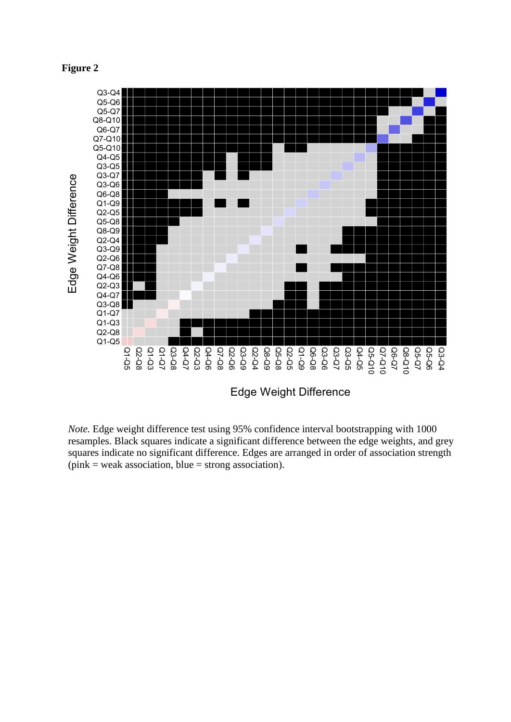## **Figure 2**



*Note.* Edge weight difference test using 95% confidence interval bootstrapping with 1000 resamples. Black squares indicate a significant difference between the edge weights, and grey squares indicate no significant difference. Edges are arranged in order of association strength  $(pink = weak association, blue = strong association).$